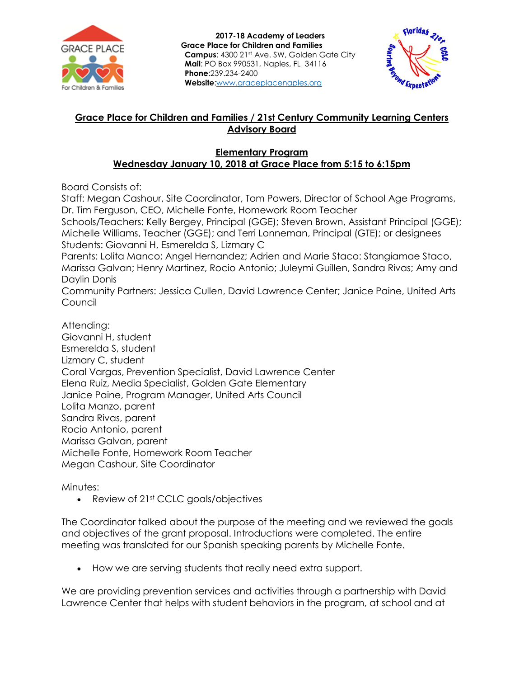

**2017-18 Academy of Leaders Grace Place for Children and Families Campus**: 4300 21st Ave. SW, Golden Gate City **Mail**: PO Box 990531, Naples, FL 34116 **Phone**:239.234-2400 **Website**[:www.graceplacenaples.org](http://www.graceplacenaples.org/)



## **Grace Place for Children and Families / 21st Century Community Learning Centers Advisory Board**

## **Elementary Program Wednesday January 10, 2018 at Grace Place from 5:15 to 6:15pm**

Board Consists of:

Staff: Megan Cashour, Site Coordinator, Tom Powers, Director of School Age Programs, Dr. Tim Ferguson, CEO, Michelle Fonte, Homework Room Teacher

Schools/Teachers: Kelly Bergey, Principal (GGE); Steven Brown, Assistant Principal (GGE); Michelle Williams, Teacher (GGE); and Terri Lonneman, Principal (GTE); or designees Students: Giovanni H, Esmerelda S, Lizmary C

Parents: Lolita Manco; Angel Hernandez; Adrien and Marie Staco: Stangiamae Staco, Marissa Galvan; Henry Martinez, Rocio Antonio; Juleymi Guillen, Sandra Rivas; Amy and Daylin Donis

Community Partners: Jessica Cullen, David Lawrence Center; Janice Paine, United Arts Council

Attending: Giovanni H, student Esmerelda S, student Lizmary C, student Coral Vargas, Prevention Specialist, David Lawrence Center Elena Ruiz, Media Specialist, Golden Gate Elementary Janice Paine, Program Manager, United Arts Council Lolita Manzo, parent Sandra Rivas, parent Rocio Antonio, parent Marissa Galvan, parent Michelle Fonte, Homework Room Teacher Megan Cashour, Site Coordinator

## Minutes:

• Review of 21st CCLC goals/objectives

The Coordinator talked about the purpose of the meeting and we reviewed the goals and objectives of the grant proposal. Introductions were completed. The entire meeting was translated for our Spanish speaking parents by Michelle Fonte.

How we are serving students that really need extra support.

We are providing prevention services and activities through a partnership with David Lawrence Center that helps with student behaviors in the program, at school and at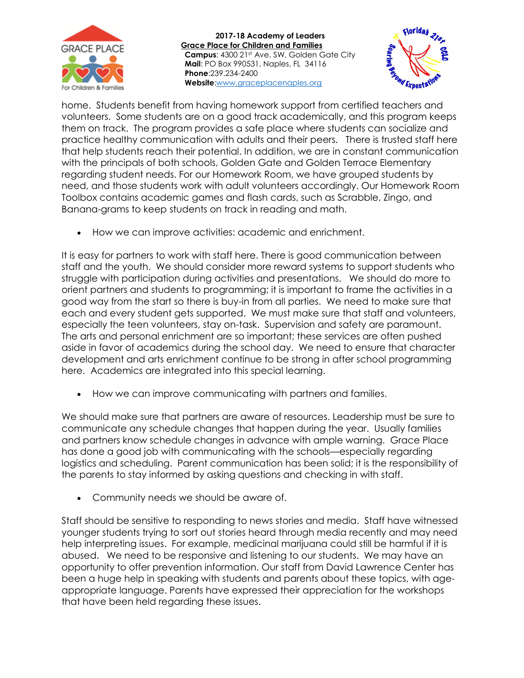

**2017-18 Academy of Leaders Grace Place for Children and Families Campus**: 4300 21st Ave. SW, Golden Gate City **Mail**: PO Box 990531, Naples, FL 34116 **Phone**:239.234-2400 **Website**[:www.graceplacenaples.org](http://www.graceplacenaples.org/)



home. Students benefit from having homework support from certified teachers and volunteers. Some students are on a good track academically, and this program keeps them on track. The program provides a safe place where students can socialize and practice healthy communication with adults and their peers. There is trusted staff here that help students reach their potential. In addition, we are in constant communication with the principals of both schools, Golden Gate and Golden Terrace Elementary regarding student needs. For our Homework Room, we have grouped students by need, and those students work with adult volunteers accordingly. Our Homework Room Toolbox contains academic games and flash cards, such as Scrabble, Zingo, and Banana-grams to keep students on track in reading and math.

How we can improve activities: academic and enrichment.

It is easy for partners to work with staff here. There is good communication between staff and the youth. We should consider more reward systems to support students who struggle with participation during activities and presentations. We should do more to orient partners and students to programming; it is important to frame the activities in a good way from the start so there is buy-in from all parties. We need to make sure that each and every student gets supported. We must make sure that staff and volunteers, especially the teen volunteers, stay on-task. Supervision and safety are paramount. The arts and personal enrichment are so important; these services are often pushed aside in favor of academics during the school day. We need to ensure that character development and arts enrichment continue to be strong in after school programming here. Academics are integrated into this special learning.

How we can improve communicating with partners and families.

We should make sure that partners are aware of resources. Leadership must be sure to communicate any schedule changes that happen during the year. Usually families and partners know schedule changes in advance with ample warning. Grace Place has done a good job with communicating with the schools—especially regarding logistics and scheduling. Parent communication has been solid; it is the responsibility of the parents to stay informed by asking questions and checking in with staff.

Community needs we should be aware of.

Staff should be sensitive to responding to news stories and media. Staff have witnessed younger students trying to sort out stories heard through media recently and may need help interpreting issues. For example, medicinal marijuana could still be harmful if it is abused. We need to be responsive and listening to our students. We may have an opportunity to offer prevention information. Our staff from David Lawrence Center has been a huge help in speaking with students and parents about these topics, with ageappropriate language. Parents have expressed their appreciation for the workshops that have been held regarding these issues.